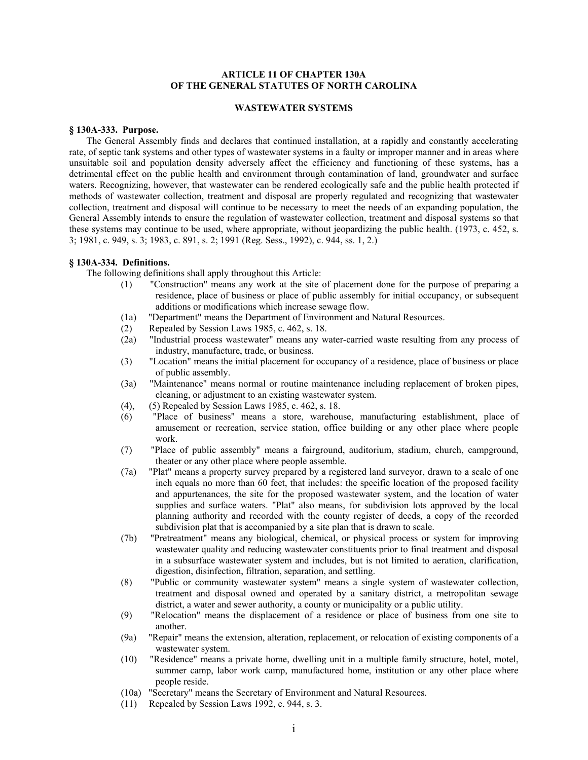## **ARTICLE 11 OF CHAPTER 130A OF THE GENERAL STATUTES OF NORTH CAROLINA**

#### **WASTEWATER SYSTEMS**

### **§ 130A-333. Purpose.**

The General Assembly finds and declares that continued installation, at a rapidly and constantly accelerating rate, of septic tank systems and other types of wastewater systems in a faulty or improper manner and in areas where unsuitable soil and population density adversely affect the efficiency and functioning of these systems, has a detrimental effect on the public health and environment through contamination of land, groundwater and surface waters. Recognizing, however, that wastewater can be rendered ecologically safe and the public health protected if methods of wastewater collection, treatment and disposal are properly regulated and recognizing that wastewater collection, treatment and disposal will continue to be necessary to meet the needs of an expanding population, the General Assembly intends to ensure the regulation of wastewater collection, treatment and disposal systems so that these systems may continue to be used, where appropriate, without jeopardizing the public health. (1973, c. 452, s. 3; 1981, c. 949, s. 3; 1983, c. 891, s. 2; 1991 (Reg. Sess., 1992), c. 944, ss. 1, 2.)

### **§ 130A-334. Definitions.**

The following definitions shall apply throughout this Article:

- (1) "Construction" means any work at the site of placement done for the purpose of preparing a residence, place of business or place of public assembly for initial occupancy, or subsequent additions or modifications which increase sewage flow.
- (1a) "Department" means the Department of Environment and Natural Resources.
- (2) Repealed by Session Laws 1985, c. 462, s. 18.
- (2a) "Industrial process wastewater" means any water-carried waste resulting from any process of industry, manufacture, trade, or business.
- (3) "Location" means the initial placement for occupancy of a residence, place of business or place of public assembly.
- (3a) "Maintenance" means normal or routine maintenance including replacement of broken pipes, cleaning, or adjustment to an existing wastewater system.
- (4), (5) Repealed by Session Laws 1985, c. 462, s. 18.
- (6) "Place of business" means a store, warehouse, manufacturing establishment, place of amusement or recreation, service station, office building or any other place where people work.
- (7) "Place of public assembly" means a fairground, auditorium, stadium, church, campground, theater or any other place where people assemble.
- (7a) "Plat" means a property survey prepared by a registered land surveyor, drawn to a scale of one inch equals no more than 60 feet, that includes: the specific location of the proposed facility and appurtenances, the site for the proposed wastewater system, and the location of water supplies and surface waters. "Plat" also means, for subdivision lots approved by the local planning authority and recorded with the county register of deeds, a copy of the recorded subdivision plat that is accompanied by a site plan that is drawn to scale.
- (7b) "Pretreatment" means any biological, chemical, or physical process or system for improving wastewater quality and reducing wastewater constituents prior to final treatment and disposal in a subsurface wastewater system and includes, but is not limited to aeration, clarification, digestion, disinfection, filtration, separation, and settling.
- (8) "Public or community wastewater system" means a single system of wastewater collection, treatment and disposal owned and operated by a sanitary district, a metropolitan sewage district, a water and sewer authority, a county or municipality or a public utility.
- (9) "Relocation" means the displacement of a residence or place of business from one site to another.
- (9a) "Repair" means the extension, alteration, replacement, or relocation of existing components of a wastewater system.
- (10) "Residence" means a private home, dwelling unit in a multiple family structure, hotel, motel, summer camp, labor work camp, manufactured home, institution or any other place where people reside.
- (10a) "Secretary" means the Secretary of Environment and Natural Resources.
- (11) Repealed by Session Laws 1992, c. 944, s. 3.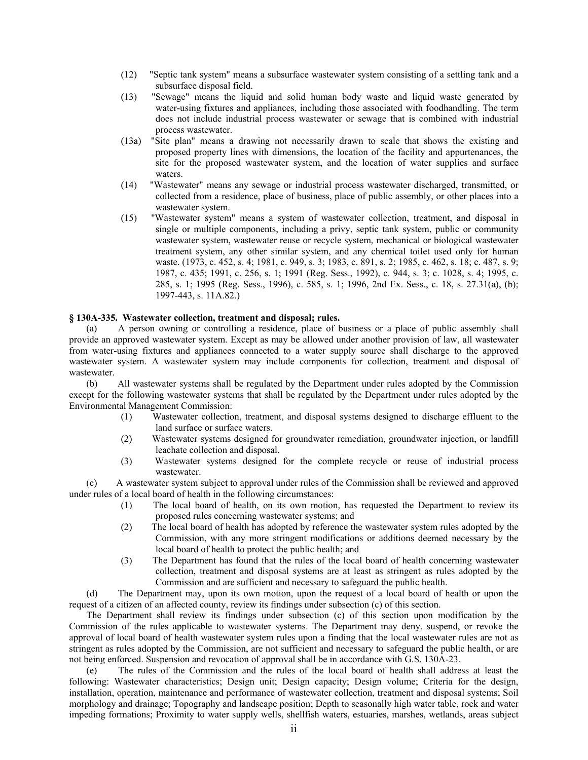- (12) "Septic tank system" means a subsurface wastewater system consisting of a settling tank and a subsurface disposal field.
- (13) "Sewage" means the liquid and solid human body waste and liquid waste generated by water-using fixtures and appliances, including those associated with foodhandling. The term does not include industrial process wastewater or sewage that is combined with industrial process wastewater.
- (13a) "Site plan" means a drawing not necessarily drawn to scale that shows the existing and proposed property lines with dimensions, the location of the facility and appurtenances, the site for the proposed wastewater system, and the location of water supplies and surface waters.
- (14) "Wastewater" means any sewage or industrial process wastewater discharged, transmitted, or collected from a residence, place of business, place of public assembly, or other places into a wastewater system.
- (15) "Wastewater system" means a system of wastewater collection, treatment, and disposal in single or multiple components, including a privy, septic tank system, public or community wastewater system, wastewater reuse or recycle system, mechanical or biological wastewater treatment system, any other similar system, and any chemical toilet used only for human waste. (1973, c. 452, s. 4; 1981, c. 949, s. 3; 1983, c. 891, s. 2; 1985, c. 462, s. 18; c. 487, s. 9; 1987, c. 435; 1991, c. 256, s. 1; 1991 (Reg. Sess., 1992), c. 944, s. 3; c. 1028, s. 4; 1995, c. 285, s. 1; 1995 (Reg. Sess., 1996), c. 585, s. 1; 1996, 2nd Ex. Sess., c. 18, s. 27.31(a), (b); 1997-443, s. 11A.82.)

## **§ 130A-335. Wastewater collection, treatment and disposal; rules.**

(a) A person owning or controlling a residence, place of business or a place of public assembly shall provide an approved wastewater system. Except as may be allowed under another provision of law, all wastewater from water-using fixtures and appliances connected to a water supply source shall discharge to the approved wastewater system. A wastewater system may include components for collection, treatment and disposal of wastewater.

(b) All wastewater systems shall be regulated by the Department under rules adopted by the Commission except for the following wastewater systems that shall be regulated by the Department under rules adopted by the Environmental Management Commission:

- (1) Wastewater collection, treatment, and disposal systems designed to discharge effluent to the land surface or surface waters.
- (2) Wastewater systems designed for groundwater remediation, groundwater injection, or landfill leachate collection and disposal.
- (3) Wastewater systems designed for the complete recycle or reuse of industrial process wastewater.

(c) A wastewater system subject to approval under rules of the Commission shall be reviewed and approved under rules of a local board of health in the following circumstances:

- (1) The local board of health, on its own motion, has requested the Department to review its proposed rules concerning wastewater systems; and
- (2) The local board of health has adopted by reference the wastewater system rules adopted by the Commission, with any more stringent modifications or additions deemed necessary by the local board of health to protect the public health; and
- (3) The Department has found that the rules of the local board of health concerning wastewater collection, treatment and disposal systems are at least as stringent as rules adopted by the Commission and are sufficient and necessary to safeguard the public health.

(d) The Department may, upon its own motion, upon the request of a local board of health or upon the request of a citizen of an affected county, review its findings under subsection (c) of this section.

The Department shall review its findings under subsection (c) of this section upon modification by the Commission of the rules applicable to wastewater systems. The Department may deny, suspend, or revoke the approval of local board of health wastewater system rules upon a finding that the local wastewater rules are not as stringent as rules adopted by the Commission, are not sufficient and necessary to safeguard the public health, or are not being enforced. Suspension and revocation of approval shall be in accordance with G.S. 130A-23.

(e) The rules of the Commission and the rules of the local board of health shall address at least the following: Wastewater characteristics; Design unit; Design capacity; Design volume; Criteria for the design, installation, operation, maintenance and performance of wastewater collection, treatment and disposal systems; Soil morphology and drainage; Topography and landscape position; Depth to seasonally high water table, rock and water impeding formations; Proximity to water supply wells, shellfish waters, estuaries, marshes, wetlands, areas subject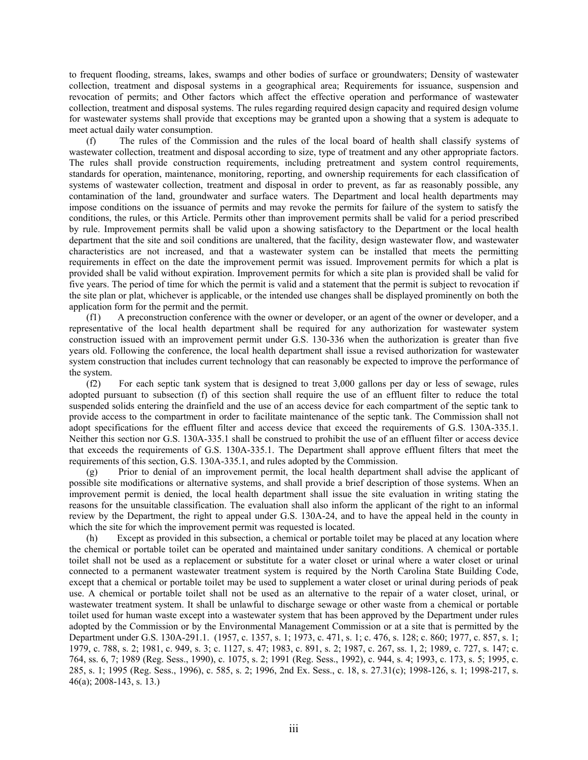to frequent flooding, streams, lakes, swamps and other bodies of surface or groundwaters; Density of wastewater collection, treatment and disposal systems in a geographical area; Requirements for issuance, suspension and revocation of permits; and Other factors which affect the effective operation and performance of wastewater collection, treatment and disposal systems. The rules regarding required design capacity and required design volume for wastewater systems shall provide that exceptions may be granted upon a showing that a system is adequate to meet actual daily water consumption.

(f) The rules of the Commission and the rules of the local board of health shall classify systems of wastewater collection, treatment and disposal according to size, type of treatment and any other appropriate factors. The rules shall provide construction requirements, including pretreatment and system control requirements, standards for operation, maintenance, monitoring, reporting, and ownership requirements for each classification of systems of wastewater collection, treatment and disposal in order to prevent, as far as reasonably possible, any contamination of the land, groundwater and surface waters. The Department and local health departments may impose conditions on the issuance of permits and may revoke the permits for failure of the system to satisfy the conditions, the rules, or this Article. Permits other than improvement permits shall be valid for a period prescribed by rule. Improvement permits shall be valid upon a showing satisfactory to the Department or the local health department that the site and soil conditions are unaltered, that the facility, design wastewater flow, and wastewater characteristics are not increased, and that a wastewater system can be installed that meets the permitting requirements in effect on the date the improvement permit was issued. Improvement permits for which a plat is provided shall be valid without expiration. Improvement permits for which a site plan is provided shall be valid for five years. The period of time for which the permit is valid and a statement that the permit is subject to revocation if the site plan or plat, whichever is applicable, or the intended use changes shall be displayed prominently on both the application form for the permit and the permit.

(f1) A preconstruction conference with the owner or developer, or an agent of the owner or developer, and a representative of the local health department shall be required for any authorization for wastewater system construction issued with an improvement permit under G.S. 130-336 when the authorization is greater than five years old. Following the conference, the local health department shall issue a revised authorization for wastewater system construction that includes current technology that can reasonably be expected to improve the performance of the system.

(f2) For each septic tank system that is designed to treat 3,000 gallons per day or less of sewage, rules adopted pursuant to subsection (f) of this section shall require the use of an effluent filter to reduce the total suspended solids entering the drainfield and the use of an access device for each compartment of the septic tank to provide access to the compartment in order to facilitate maintenance of the septic tank. The Commission shall not adopt specifications for the effluent filter and access device that exceed the requirements of G.S. 130A-335.1. Neither this section nor G.S. 130A-335.1 shall be construed to prohibit the use of an effluent filter or access device that exceeds the requirements of G.S. 130A-335.1. The Department shall approve effluent filters that meet the requirements of this section, G.S. 130A-335.1, and rules adopted by the Commission.

(g) Prior to denial of an improvement permit, the local health department shall advise the applicant of possible site modifications or alternative systems, and shall provide a brief description of those systems. When an improvement permit is denied, the local health department shall issue the site evaluation in writing stating the reasons for the unsuitable classification. The evaluation shall also inform the applicant of the right to an informal review by the Department, the right to appeal under G.S. 130A-24, and to have the appeal held in the county in which the site for which the improvement permit was requested is located.

(h) Except as provided in this subsection, a chemical or portable toilet may be placed at any location where the chemical or portable toilet can be operated and maintained under sanitary conditions. A chemical or portable toilet shall not be used as a replacement or substitute for a water closet or urinal where a water closet or urinal connected to a permanent wastewater treatment system is required by the North Carolina State Building Code, except that a chemical or portable toilet may be used to supplement a water closet or urinal during periods of peak use. A chemical or portable toilet shall not be used as an alternative to the repair of a water closet, urinal, or wastewater treatment system. It shall be unlawful to discharge sewage or other waste from a chemical or portable toilet used for human waste except into a wastewater system that has been approved by the Department under rules adopted by the Commission or by the Environmental Management Commission or at a site that is permitted by the Department under G.S. 130A-291.1. (1957, c. 1357, s. 1; 1973, c. 471, s. 1; c. 476, s. 128; c. 860; 1977, c. 857, s. 1; 1979, c. 788, s. 2; 1981, c. 949, s. 3; c. 1127, s. 47; 1983, c. 891, s. 2; 1987, c. 267, ss. 1, 2; 1989, c. 727, s. 147; c. 764, ss. 6, 7; 1989 (Reg. Sess., 1990), c. 1075, s. 2; 1991 (Reg. Sess., 1992), c. 944, s. 4; 1993, c. 173, s. 5; 1995, c. 285, s. 1; 1995 (Reg. Sess., 1996), c. 585, s. 2; 1996, 2nd Ex. Sess., c. 18, s. 27.31(c); 1998-126, s. 1; 1998-217, s. 46(a); 2008-143, s. 13.)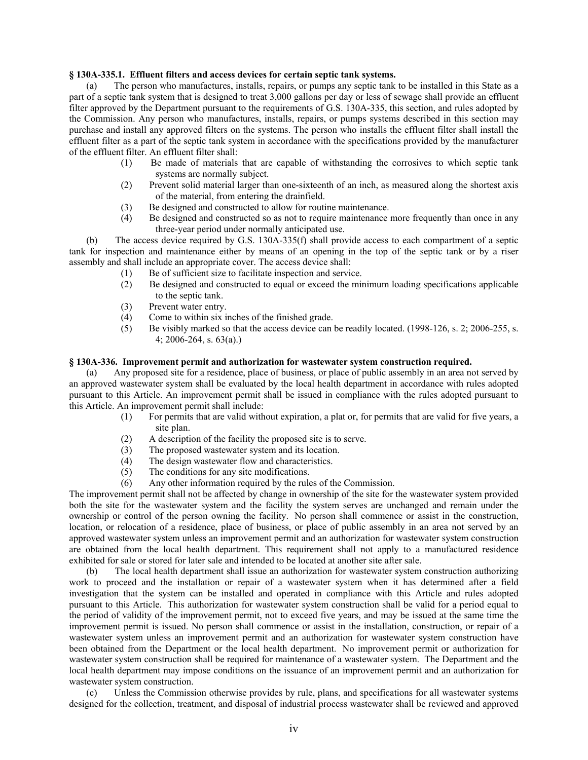### **§ 130A-335.1. Effluent filters and access devices for certain septic tank systems.**

(a) The person who manufactures, installs, repairs, or pumps any septic tank to be installed in this State as a part of a septic tank system that is designed to treat 3,000 gallons per day or less of sewage shall provide an effluent filter approved by the Department pursuant to the requirements of G.S. 130A-335, this section, and rules adopted by the Commission. Any person who manufactures, installs, repairs, or pumps systems described in this section may purchase and install any approved filters on the systems. The person who installs the effluent filter shall install the effluent filter as a part of the septic tank system in accordance with the specifications provided by the manufacturer of the effluent filter. An effluent filter shall:

- (1) Be made of materials that are capable of withstanding the corrosives to which septic tank systems are normally subject.
- (2) Prevent solid material larger than one-sixteenth of an inch, as measured along the shortest axis of the material, from entering the drainfield.
- (3) Be designed and constructed to allow for routine maintenance.
- (4) Be designed and constructed so as not to require maintenance more frequently than once in any three-year period under normally anticipated use.

(b) The access device required by G.S. 130A-335(f) shall provide access to each compartment of a septic tank for inspection and maintenance either by means of an opening in the top of the septic tank or by a riser assembly and shall include an appropriate cover. The access device shall:

- (1) Be of sufficient size to facilitate inspection and service.
- (2) Be designed and constructed to equal or exceed the minimum loading specifications applicable to the septic tank.
- (3) Prevent water entry.
- (4) Come to within six inches of the finished grade.
- (5) Be visibly marked so that the access device can be readily located. (1998-126, s. 2; 2006-255, s. 4; 2006-264, s. 63(a).)

### **§ 130A-336. Improvement permit and authorization for wastewater system construction required.**

(a) Any proposed site for a residence, place of business, or place of public assembly in an area not served by an approved wastewater system shall be evaluated by the local health department in accordance with rules adopted pursuant to this Article. An improvement permit shall be issued in compliance with the rules adopted pursuant to this Article. An improvement permit shall include:

- (1) For permits that are valid without expiration, a plat or, for permits that are valid for five years, a site plan.
- (2) A description of the facility the proposed site is to serve.
- (3) The proposed wastewater system and its location.
- (4) The design wastewater flow and characteristics.
- (5) The conditions for any site modifications.
- (6) Any other information required by the rules of the Commission.

The improvement permit shall not be affected by change in ownership of the site for the wastewater system provided both the site for the wastewater system and the facility the system serves are unchanged and remain under the ownership or control of the person owning the facility. No person shall commence or assist in the construction, location, or relocation of a residence, place of business, or place of public assembly in an area not served by an approved wastewater system unless an improvement permit and an authorization for wastewater system construction are obtained from the local health department. This requirement shall not apply to a manufactured residence exhibited for sale or stored for later sale and intended to be located at another site after sale.

(b) The local health department shall issue an authorization for wastewater system construction authorizing work to proceed and the installation or repair of a wastewater system when it has determined after a field investigation that the system can be installed and operated in compliance with this Article and rules adopted pursuant to this Article. This authorization for wastewater system construction shall be valid for a period equal to the period of validity of the improvement permit, not to exceed five years, and may be issued at the same time the improvement permit is issued. No person shall commence or assist in the installation, construction, or repair of a wastewater system unless an improvement permit and an authorization for wastewater system construction have been obtained from the Department or the local health department. No improvement permit or authorization for wastewater system construction shall be required for maintenance of a wastewater system. The Department and the local health department may impose conditions on the issuance of an improvement permit and an authorization for wastewater system construction.

(c) Unless the Commission otherwise provides by rule, plans, and specifications for all wastewater systems designed for the collection, treatment, and disposal of industrial process wastewater shall be reviewed and approved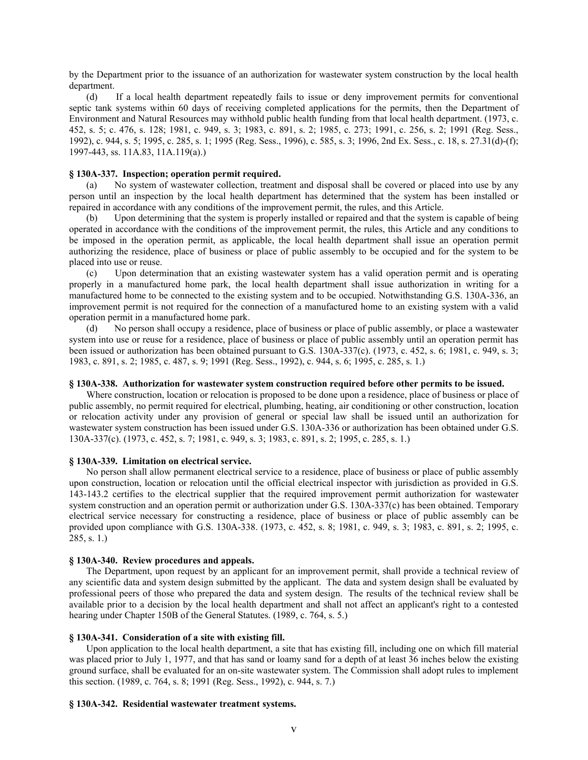by the Department prior to the issuance of an authorization for wastewater system construction by the local health department.

(d) If a local health department repeatedly fails to issue or deny improvement permits for conventional septic tank systems within 60 days of receiving completed applications for the permits, then the Department of Environment and Natural Resources may withhold public health funding from that local health department. (1973, c. 452, s. 5; c. 476, s. 128; 1981, c. 949, s. 3; 1983, c. 891, s. 2; 1985, c. 273; 1991, c. 256, s. 2; 1991 (Reg. Sess., 1992), c. 944, s. 5; 1995, c. 285, s. 1; 1995 (Reg. Sess., 1996), c. 585, s. 3; 1996, 2nd Ex. Sess., c. 18, s. 27.31(d)-(f); 1997-443, ss. 11A.83, 11A.119(a).)

### **§ 130A-337. Inspection; operation permit required.**

(a) No system of wastewater collection, treatment and disposal shall be covered or placed into use by any person until an inspection by the local health department has determined that the system has been installed or repaired in accordance with any conditions of the improvement permit, the rules, and this Article.

(b) Upon determining that the system is properly installed or repaired and that the system is capable of being operated in accordance with the conditions of the improvement permit, the rules, this Article and any conditions to be imposed in the operation permit, as applicable, the local health department shall issue an operation permit authorizing the residence, place of business or place of public assembly to be occupied and for the system to be placed into use or reuse.

(c) Upon determination that an existing wastewater system has a valid operation permit and is operating properly in a manufactured home park, the local health department shall issue authorization in writing for a manufactured home to be connected to the existing system and to be occupied. Notwithstanding G.S. 130A-336, an improvement permit is not required for the connection of a manufactured home to an existing system with a valid operation permit in a manufactured home park.

(d) No person shall occupy a residence, place of business or place of public assembly, or place a wastewater system into use or reuse for a residence, place of business or place of public assembly until an operation permit has been issued or authorization has been obtained pursuant to G.S. 130A-337(c). (1973, c. 452, s. 6; 1981, c. 949, s. 3; 1983, c. 891, s. 2; 1985, c. 487, s. 9; 1991 (Reg. Sess., 1992), c. 944, s. 6; 1995, c. 285, s. 1.)

#### **§ 130A-338. Authorization for wastewater system construction required before other permits to be issued.**

Where construction, location or relocation is proposed to be done upon a residence, place of business or place of public assembly, no permit required for electrical, plumbing, heating, air conditioning or other construction, location or relocation activity under any provision of general or special law shall be issued until an authorization for wastewater system construction has been issued under G.S. 130A-336 or authorization has been obtained under G.S. 130A-337(c). (1973, c. 452, s. 7; 1981, c. 949, s. 3; 1983, c. 891, s. 2; 1995, c. 285, s. 1.)

#### **§ 130A-339. Limitation on electrical service.**

No person shall allow permanent electrical service to a residence, place of business or place of public assembly upon construction, location or relocation until the official electrical inspector with jurisdiction as provided in G.S. 143-143.2 certifies to the electrical supplier that the required improvement permit authorization for wastewater system construction and an operation permit or authorization under G.S. 130A-337(c) has been obtained. Temporary electrical service necessary for constructing a residence, place of business or place of public assembly can be provided upon compliance with G.S. 130A-338. (1973, c. 452, s. 8; 1981, c. 949, s. 3; 1983, c. 891, s. 2; 1995, c. 285, s. 1.)

## **§ 130A-340. Review procedures and appeals.**

The Department, upon request by an applicant for an improvement permit, shall provide a technical review of any scientific data and system design submitted by the applicant. The data and system design shall be evaluated by professional peers of those who prepared the data and system design. The results of the technical review shall be available prior to a decision by the local health department and shall not affect an applicant's right to a contested hearing under Chapter 150B of the General Statutes. (1989, c. 764, s. 5.)

#### **§ 130A-341. Consideration of a site with existing fill.**

Upon application to the local health department, a site that has existing fill, including one on which fill material was placed prior to July 1, 1977, and that has sand or loamy sand for a depth of at least 36 inches below the existing ground surface, shall be evaluated for an on-site wastewater system. The Commission shall adopt rules to implement this section. (1989, c. 764, s. 8; 1991 (Reg. Sess., 1992), c. 944, s. 7.)

#### **§ 130A-342. Residential wastewater treatment systems.**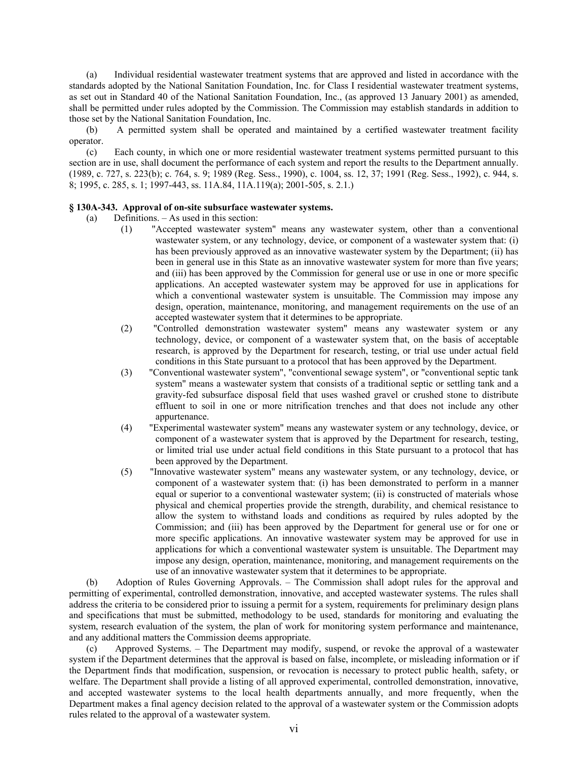(a) Individual residential wastewater treatment systems that are approved and listed in accordance with the standards adopted by the National Sanitation Foundation, Inc. for Class I residential wastewater treatment systems, as set out in Standard 40 of the National Sanitation Foundation, Inc., (as approved 13 January 2001) as amended, shall be permitted under rules adopted by the Commission. The Commission may establish standards in addition to those set by the National Sanitation Foundation, Inc.

(b) A permitted system shall be operated and maintained by a certified wastewater treatment facility operator.

(c) Each county, in which one or more residential wastewater treatment systems permitted pursuant to this section are in use, shall document the performance of each system and report the results to the Department annually. (1989, c. 727, s. 223(b); c. 764, s. 9; 1989 (Reg. Sess., 1990), c. 1004, ss. 12, 37; 1991 (Reg. Sess., 1992), c. 944, s. 8; 1995, c. 285, s. 1; 1997-443, ss. 11A.84, 11A.119(a); 2001-505, s. 2.1.)

### **§ 130A-343. Approval of on-site subsurface wastewater systems.**

- (a) Definitions. As used in this section:
	- (1) "Accepted wastewater system" means any wastewater system, other than a conventional wastewater system, or any technology, device, or component of a wastewater system that: (i) has been previously approved as an innovative wastewater system by the Department; (ii) has been in general use in this State as an innovative wastewater system for more than five years; and (iii) has been approved by the Commission for general use or use in one or more specific applications. An accepted wastewater system may be approved for use in applications for which a conventional wastewater system is unsuitable. The Commission may impose any design, operation, maintenance, monitoring, and management requirements on the use of an accepted wastewater system that it determines to be appropriate.
	- (2) "Controlled demonstration wastewater system" means any wastewater system or any technology, device, or component of a wastewater system that, on the basis of acceptable research, is approved by the Department for research, testing, or trial use under actual field conditions in this State pursuant to a protocol that has been approved by the Department.
	- (3) "Conventional wastewater system", "conventional sewage system", or "conventional septic tank system" means a wastewater system that consists of a traditional septic or settling tank and a gravity-fed subsurface disposal field that uses washed gravel or crushed stone to distribute effluent to soil in one or more nitrification trenches and that does not include any other appurtenance.
	- (4) "Experimental wastewater system" means any wastewater system or any technology, device, or component of a wastewater system that is approved by the Department for research, testing, or limited trial use under actual field conditions in this State pursuant to a protocol that has been approved by the Department.
	- (5) "Innovative wastewater system" means any wastewater system, or any technology, device, or component of a wastewater system that: (i) has been demonstrated to perform in a manner equal or superior to a conventional wastewater system; (ii) is constructed of materials whose physical and chemical properties provide the strength, durability, and chemical resistance to allow the system to withstand loads and conditions as required by rules adopted by the Commission; and (iii) has been approved by the Department for general use or for one or more specific applications. An innovative wastewater system may be approved for use in applications for which a conventional wastewater system is unsuitable. The Department may impose any design, operation, maintenance, monitoring, and management requirements on the use of an innovative wastewater system that it determines to be appropriate.

(b) Adoption of Rules Governing Approvals. – The Commission shall adopt rules for the approval and permitting of experimental, controlled demonstration, innovative, and accepted wastewater systems. The rules shall address the criteria to be considered prior to issuing a permit for a system, requirements for preliminary design plans and specifications that must be submitted, methodology to be used, standards for monitoring and evaluating the system, research evaluation of the system, the plan of work for monitoring system performance and maintenance, and any additional matters the Commission deems appropriate.

(c) Approved Systems. – The Department may modify, suspend, or revoke the approval of a wastewater system if the Department determines that the approval is based on false, incomplete, or misleading information or if the Department finds that modification, suspension, or revocation is necessary to protect public health, safety, or welfare. The Department shall provide a listing of all approved experimental, controlled demonstration, innovative, and accepted wastewater systems to the local health departments annually, and more frequently, when the Department makes a final agency decision related to the approval of a wastewater system or the Commission adopts rules related to the approval of a wastewater system.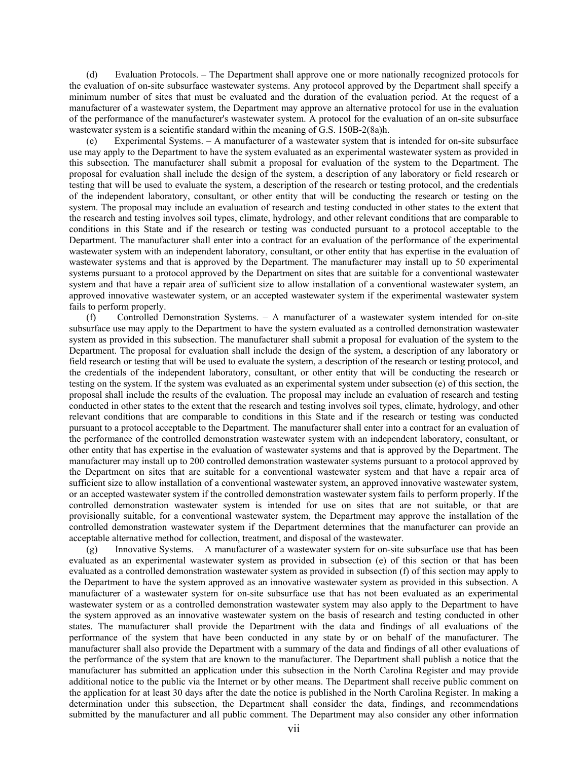(d) Evaluation Protocols. – The Department shall approve one or more nationally recognized protocols for the evaluation of on-site subsurface wastewater systems. Any protocol approved by the Department shall specify a minimum number of sites that must be evaluated and the duration of the evaluation period. At the request of a manufacturer of a wastewater system, the Department may approve an alternative protocol for use in the evaluation of the performance of the manufacturer's wastewater system. A protocol for the evaluation of an on-site subsurface wastewater system is a scientific standard within the meaning of G.S. 150B-2(8a)h.

(e) Experimental Systems. – A manufacturer of a wastewater system that is intended for on-site subsurface use may apply to the Department to have the system evaluated as an experimental wastewater system as provided in this subsection. The manufacturer shall submit a proposal for evaluation of the system to the Department. The proposal for evaluation shall include the design of the system, a description of any laboratory or field research or testing that will be used to evaluate the system, a description of the research or testing protocol, and the credentials of the independent laboratory, consultant, or other entity that will be conducting the research or testing on the system. The proposal may include an evaluation of research and testing conducted in other states to the extent that the research and testing involves soil types, climate, hydrology, and other relevant conditions that are comparable to conditions in this State and if the research or testing was conducted pursuant to a protocol acceptable to the Department. The manufacturer shall enter into a contract for an evaluation of the performance of the experimental wastewater system with an independent laboratory, consultant, or other entity that has expertise in the evaluation of wastewater systems and that is approved by the Department. The manufacturer may install up to 50 experimental systems pursuant to a protocol approved by the Department on sites that are suitable for a conventional wastewater system and that have a repair area of sufficient size to allow installation of a conventional wastewater system, an approved innovative wastewater system, or an accepted wastewater system if the experimental wastewater system fails to perform properly.

(f) Controlled Demonstration Systems. – A manufacturer of a wastewater system intended for on-site subsurface use may apply to the Department to have the system evaluated as a controlled demonstration wastewater system as provided in this subsection. The manufacturer shall submit a proposal for evaluation of the system to the Department. The proposal for evaluation shall include the design of the system, a description of any laboratory or field research or testing that will be used to evaluate the system, a description of the research or testing protocol, and the credentials of the independent laboratory, consultant, or other entity that will be conducting the research or testing on the system. If the system was evaluated as an experimental system under subsection (e) of this section, the proposal shall include the results of the evaluation. The proposal may include an evaluation of research and testing conducted in other states to the extent that the research and testing involves soil types, climate, hydrology, and other relevant conditions that are comparable to conditions in this State and if the research or testing was conducted pursuant to a protocol acceptable to the Department. The manufacturer shall enter into a contract for an evaluation of the performance of the controlled demonstration wastewater system with an independent laboratory, consultant, or other entity that has expertise in the evaluation of wastewater systems and that is approved by the Department. The manufacturer may install up to 200 controlled demonstration wastewater systems pursuant to a protocol approved by the Department on sites that are suitable for a conventional wastewater system and that have a repair area of sufficient size to allow installation of a conventional wastewater system, an approved innovative wastewater system, or an accepted wastewater system if the controlled demonstration wastewater system fails to perform properly. If the controlled demonstration wastewater system is intended for use on sites that are not suitable, or that are provisionally suitable, for a conventional wastewater system, the Department may approve the installation of the controlled demonstration wastewater system if the Department determines that the manufacturer can provide an acceptable alternative method for collection, treatment, and disposal of the wastewater.

(g) Innovative Systems. – A manufacturer of a wastewater system for on-site subsurface use that has been evaluated as an experimental wastewater system as provided in subsection (e) of this section or that has been evaluated as a controlled demonstration wastewater system as provided in subsection (f) of this section may apply to the Department to have the system approved as an innovative wastewater system as provided in this subsection. A manufacturer of a wastewater system for on-site subsurface use that has not been evaluated as an experimental wastewater system or as a controlled demonstration wastewater system may also apply to the Department to have the system approved as an innovative wastewater system on the basis of research and testing conducted in other states. The manufacturer shall provide the Department with the data and findings of all evaluations of the performance of the system that have been conducted in any state by or on behalf of the manufacturer. The manufacturer shall also provide the Department with a summary of the data and findings of all other evaluations of the performance of the system that are known to the manufacturer. The Department shall publish a notice that the manufacturer has submitted an application under this subsection in the North Carolina Register and may provide additional notice to the public via the Internet or by other means. The Department shall receive public comment on the application for at least 30 days after the date the notice is published in the North Carolina Register. In making a determination under this subsection, the Department shall consider the data, findings, and recommendations submitted by the manufacturer and all public comment. The Department may also consider any other information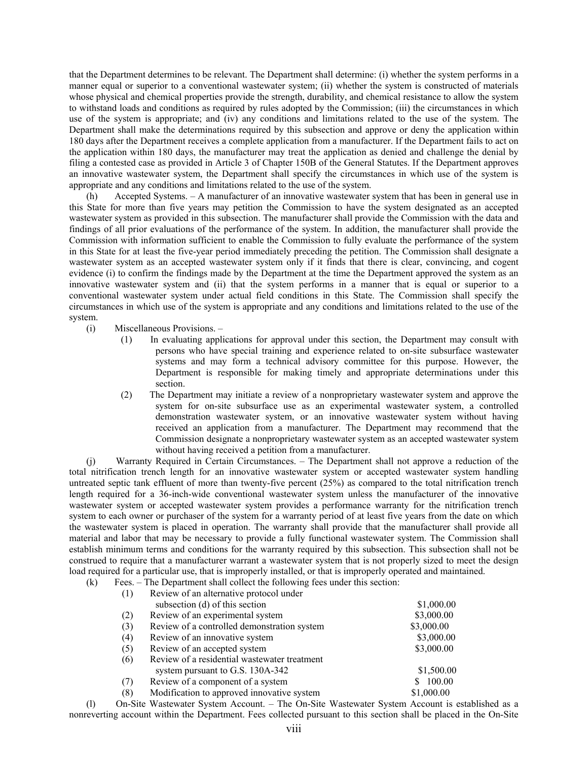that the Department determines to be relevant. The Department shall determine: (i) whether the system performs in a manner equal or superior to a conventional wastewater system; (ii) whether the system is constructed of materials whose physical and chemical properties provide the strength, durability, and chemical resistance to allow the system to withstand loads and conditions as required by rules adopted by the Commission; (iii) the circumstances in which use of the system is appropriate; and (iv) any conditions and limitations related to the use of the system. The Department shall make the determinations required by this subsection and approve or deny the application within 180 days after the Department receives a complete application from a manufacturer. If the Department fails to act on the application within 180 days, the manufacturer may treat the application as denied and challenge the denial by filing a contested case as provided in Article 3 of Chapter 150B of the General Statutes. If the Department approves an innovative wastewater system, the Department shall specify the circumstances in which use of the system is appropriate and any conditions and limitations related to the use of the system.

(h) Accepted Systems. – A manufacturer of an innovative wastewater system that has been in general use in this State for more than five years may petition the Commission to have the system designated as an accepted wastewater system as provided in this subsection. The manufacturer shall provide the Commission with the data and findings of all prior evaluations of the performance of the system. In addition, the manufacturer shall provide the Commission with information sufficient to enable the Commission to fully evaluate the performance of the system in this State for at least the five-year period immediately preceding the petition. The Commission shall designate a wastewater system as an accepted wastewater system only if it finds that there is clear, convincing, and cogent evidence (i) to confirm the findings made by the Department at the time the Department approved the system as an innovative wastewater system and (ii) that the system performs in a manner that is equal or superior to a conventional wastewater system under actual field conditions in this State. The Commission shall specify the circumstances in which use of the system is appropriate and any conditions and limitations related to the use of the system.

(i) Miscellaneous Provisions. –

- (1) In evaluating applications for approval under this section, the Department may consult with persons who have special training and experience related to on-site subsurface wastewater systems and may form a technical advisory committee for this purpose. However, the Department is responsible for making timely and appropriate determinations under this section.
- (2) The Department may initiate a review of a nonproprietary wastewater system and approve the system for on-site subsurface use as an experimental wastewater system, a controlled demonstration wastewater system, or an innovative wastewater system without having received an application from a manufacturer. The Department may recommend that the Commission designate a nonproprietary wastewater system as an accepted wastewater system without having received a petition from a manufacturer.

(j) Warranty Required in Certain Circumstances. – The Department shall not approve a reduction of the total nitrification trench length for an innovative wastewater system or accepted wastewater system handling untreated septic tank effluent of more than twenty-five percent (25%) as compared to the total nitrification trench length required for a 36-inch-wide conventional wastewater system unless the manufacturer of the innovative wastewater system or accepted wastewater system provides a performance warranty for the nitrification trench system to each owner or purchaser of the system for a warranty period of at least five years from the date on which the wastewater system is placed in operation. The warranty shall provide that the manufacturer shall provide all material and labor that may be necessary to provide a fully functional wastewater system. The Commission shall establish minimum terms and conditions for the warranty required by this subsection. This subsection shall not be construed to require that a manufacturer warrant a wastewater system that is not properly sized to meet the design load required for a particular use, that is improperly installed, or that is improperly operated and maintained.

| (k) | Fees. – The Department shall collect the following fees under this section: |                                              |            |
|-----|-----------------------------------------------------------------------------|----------------------------------------------|------------|
|     | (1)                                                                         | Review of an alternative protocol under      |            |
|     |                                                                             | subsection (d) of this section               | \$1,000.00 |
|     | (2)                                                                         | Review of an experimental system             | \$3,000.00 |
|     | (3)                                                                         | Review of a controlled demonstration system  | \$3,000.00 |
|     | (4)                                                                         | Review of an innovative system               | \$3,000.00 |
|     | (5)                                                                         | Review of an accepted system                 | \$3,000.00 |
|     | (6)                                                                         | Review of a residential wastewater treatment |            |
|     |                                                                             | system pursuant to G.S. 130A-342             | \$1,500.00 |
|     | (7)                                                                         | Review of a component of a system            | 100.00     |
|     | (8)                                                                         | Modification to approved innovative system   | \$1,000.00 |

(l) On-Site Wastewater System Account. – The On-Site Wastewater System Account is established as a nonreverting account within the Department. Fees collected pursuant to this section shall be placed in the On-Site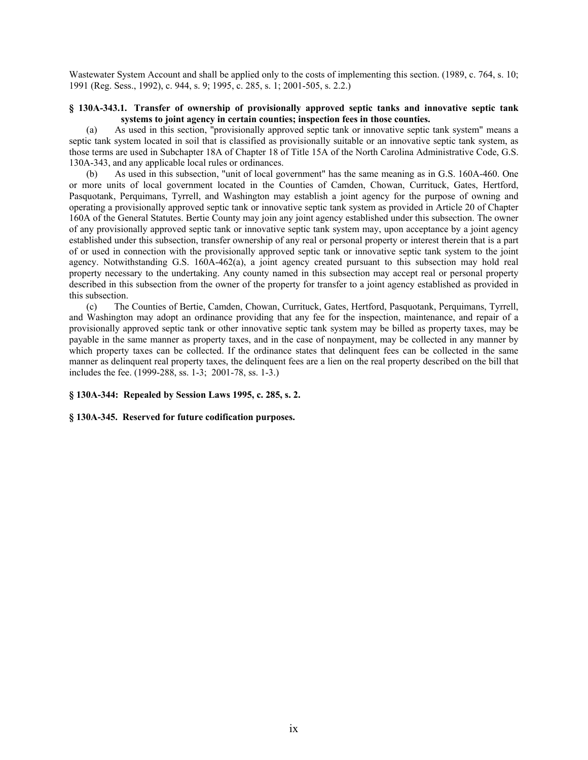Wastewater System Account and shall be applied only to the costs of implementing this section. (1989, c. 764, s. 10; 1991 (Reg. Sess., 1992), c. 944, s. 9; 1995, c. 285, s. 1; 2001-505, s. 2.2.)

## **§ 130A-343.1. Transfer of ownership of provisionally approved septic tanks and innovative septic tank systems to joint agency in certain counties; inspection fees in those counties.**

(a) As used in this section, "provisionally approved septic tank or innovative septic tank system" means a septic tank system located in soil that is classified as provisionally suitable or an innovative septic tank system, as those terms are used in Subchapter 18A of Chapter 18 of Title 15A of the North Carolina Administrative Code, G.S. 130A-343, and any applicable local rules or ordinances.

(b) As used in this subsection, "unit of local government" has the same meaning as in G.S. 160A-460. One or more units of local government located in the Counties of Camden, Chowan, Currituck, Gates, Hertford, Pasquotank, Perquimans, Tyrrell, and Washington may establish a joint agency for the purpose of owning and operating a provisionally approved septic tank or innovative septic tank system as provided in Article 20 of Chapter 160A of the General Statutes. Bertie County may join any joint agency established under this subsection. The owner of any provisionally approved septic tank or innovative septic tank system may, upon acceptance by a joint agency established under this subsection, transfer ownership of any real or personal property or interest therein that is a part of or used in connection with the provisionally approved septic tank or innovative septic tank system to the joint agency. Notwithstanding G.S. 160A-462(a), a joint agency created pursuant to this subsection may hold real property necessary to the undertaking. Any county named in this subsection may accept real or personal property described in this subsection from the owner of the property for transfer to a joint agency established as provided in this subsection.

(c) The Counties of Bertie, Camden, Chowan, Currituck, Gates, Hertford, Pasquotank, Perquimans, Tyrrell, and Washington may adopt an ordinance providing that any fee for the inspection, maintenance, and repair of a provisionally approved septic tank or other innovative septic tank system may be billed as property taxes, may be payable in the same manner as property taxes, and in the case of nonpayment, may be collected in any manner by which property taxes can be collected. If the ordinance states that delinquent fees can be collected in the same manner as delinquent real property taxes, the delinquent fees are a lien on the real property described on the bill that includes the fee. (1999-288, ss. 1-3; 2001-78, ss. 1-3.)

**§ 130A-344: Repealed by Session Laws 1995, c. 285, s. 2.** 

**§ 130A-345. Reserved for future codification purposes.**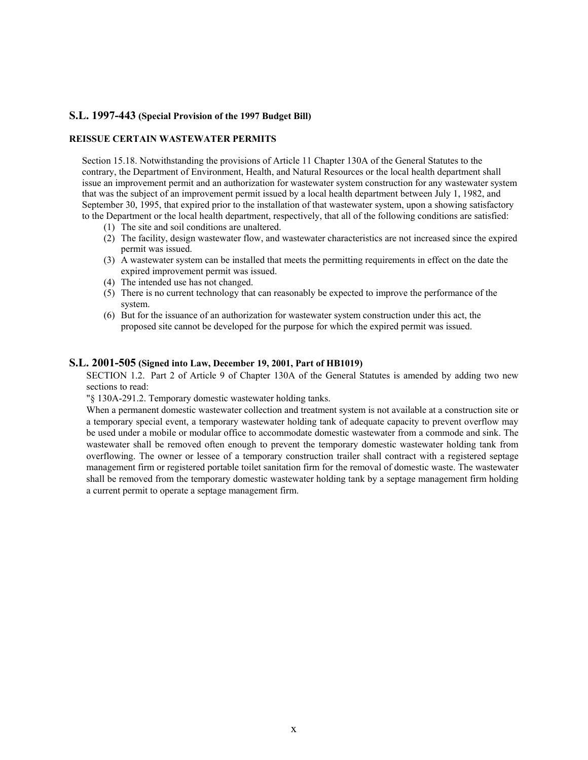## **S.L. 1997-443 (Special Provision of the 1997 Budget Bill)**

## **REISSUE CERTAIN WASTEWATER PERMITS**

Section 15.18. Notwithstanding the provisions of Article 11 Chapter 130A of the General Statutes to the contrary, the Department of Environment, Health, and Natural Resources or the local health department shall issue an improvement permit and an authorization for wastewater system construction for any wastewater system that was the subject of an improvement permit issued by a local health department between July 1, 1982, and September 30, 1995, that expired prior to the installation of that wastewater system, upon a showing satisfactory to the Department or the local health department, respectively, that all of the following conditions are satisfied:

- (1) The site and soil conditions are unaltered.
- (2) The facility, design wastewater flow, and wastewater characteristics are not increased since the expired permit was issued.
- (3) A wastewater system can be installed that meets the permitting requirements in effect on the date the expired improvement permit was issued.
- (4) The intended use has not changed.
- (5) There is no current technology that can reasonably be expected to improve the performance of the system.
- (6) But for the issuance of an authorization for wastewater system construction under this act, the proposed site cannot be developed for the purpose for which the expired permit was issued.

### **S.L. 2001-505 (Signed into Law, December 19, 2001, Part of HB1019)**

SECTION 1.2. Part 2 of Article 9 of Chapter 130A of the General Statutes is amended by adding two new sections to read:

"§ 130A-291.2. Temporary domestic wastewater holding tanks.

When a permanent domestic wastewater collection and treatment system is not available at a construction site or a temporary special event, a temporary wastewater holding tank of adequate capacity to prevent overflow may be used under a mobile or modular office to accommodate domestic wastewater from a commode and sink. The wastewater shall be removed often enough to prevent the temporary domestic wastewater holding tank from overflowing. The owner or lessee of a temporary construction trailer shall contract with a registered septage management firm or registered portable toilet sanitation firm for the removal of domestic waste. The wastewater shall be removed from the temporary domestic wastewater holding tank by a septage management firm holding a current permit to operate a septage management firm.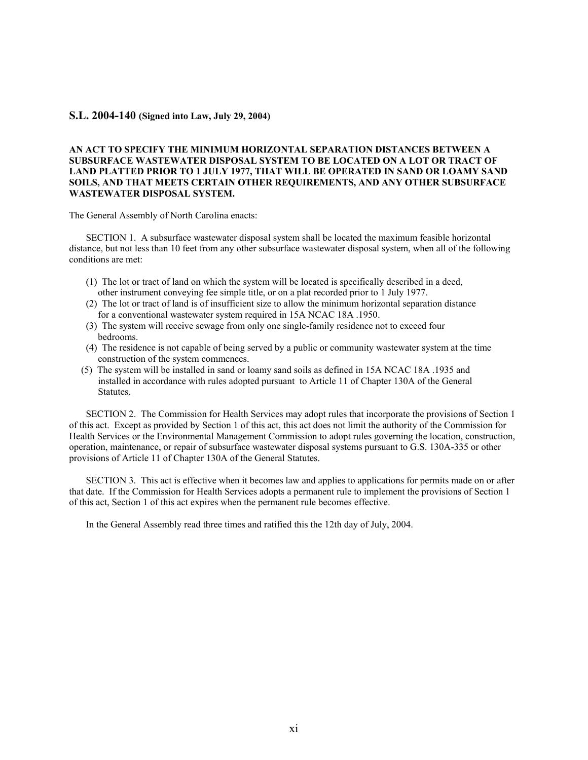### **S.L. 2004-140 (Signed into Law, July 29, 2004)**

## **AN ACT TO SPECIFY THE MINIMUM HORIZONTAL SEPARATION DISTANCES BETWEEN A SUBSURFACE WASTEWATER DISPOSAL SYSTEM TO BE LOCATED ON A LOT OR TRACT OF LAND PLATTED PRIOR TO 1 JULY 1977, THAT WILL BE OPERATED IN SAND OR LOAMY SAND SOILS, AND THAT MEETS CERTAIN OTHER REQUIREMENTS, AND ANY OTHER SUBSURFACE WASTEWATER DISPOSAL SYSTEM.**

The General Assembly of North Carolina enacts:

 SECTION 1. A subsurface wastewater disposal system shall be located the maximum feasible horizontal distance, but not less than 10 feet from any other subsurface wastewater disposal system, when all of the following conditions are met:

- (1) The lot or tract of land on which the system will be located is specifically described in a deed, other instrument conveying fee simple title, or on a plat recorded prior to 1 July 1977.
- (2) The lot or tract of land is of insufficient size to allow the minimum horizontal separation distance for a conventional wastewater system required in 15A NCAC 18A .1950.
- (3) The system will receive sewage from only one single-family residence not to exceed four bedrooms.
- (4) The residence is not capable of being served by a public or community wastewater system at the time construction of the system commences.
- (5) The system will be installed in sand or loamy sand soils as defined in 15A NCAC 18A .1935 and installed in accordance with rules adopted pursuant to Article 11 of Chapter 130A of the General Statutes.

 SECTION 2. The Commission for Health Services may adopt rules that incorporate the provisions of Section 1 of this act. Except as provided by Section 1 of this act, this act does not limit the authority of the Commission for Health Services or the Environmental Management Commission to adopt rules governing the location, construction, operation, maintenance, or repair of subsurface wastewater disposal systems pursuant to G.S. 130A-335 or other provisions of Article 11 of Chapter 130A of the General Statutes.

 SECTION 3. This act is effective when it becomes law and applies to applications for permits made on or after that date. If the Commission for Health Services adopts a permanent rule to implement the provisions of Section 1 of this act, Section 1 of this act expires when the permanent rule becomes effective.

In the General Assembly read three times and ratified this the 12th day of July, 2004.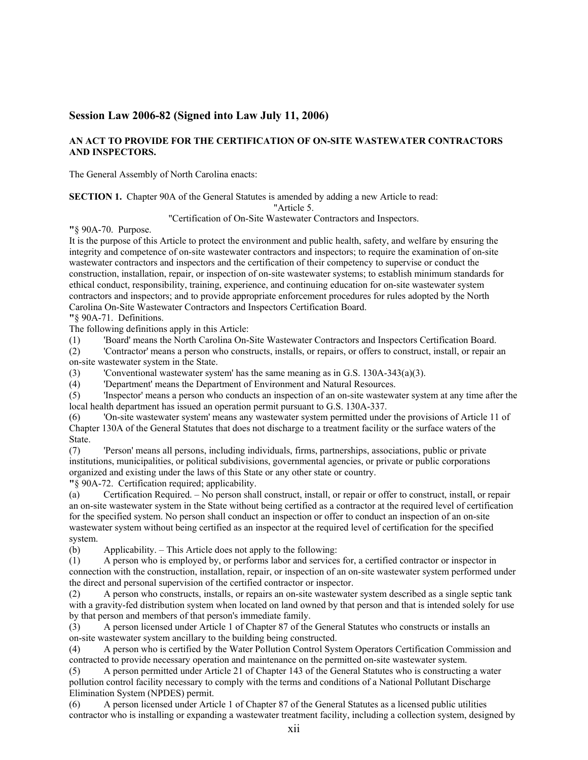# **Session Law 2006-82 (Signed into Law July 11, 2006)**

## **AN ACT TO PROVIDE FOR THE CERTIFICATION OF ON-SITE WASTEWATER CONTRACTORS AND INSPECTORS.**

The General Assembly of North Carolina enacts:

**SECTION 1.** Chapter 90A of the General Statutes is amended by adding a new Article to read:

"Article 5.

"Certification of On-Site Wastewater Contractors and Inspectors.

**"**§ 90A-70. Purpose.

It is the purpose of this Article to protect the environment and public health, safety, and welfare by ensuring the integrity and competence of on-site wastewater contractors and inspectors; to require the examination of on-site wastewater contractors and inspectors and the certification of their competency to supervise or conduct the construction, installation, repair, or inspection of on-site wastewater systems; to establish minimum standards for ethical conduct, responsibility, training, experience, and continuing education for on-site wastewater system contractors and inspectors; and to provide appropriate enforcement procedures for rules adopted by the North Carolina On-Site Wastewater Contractors and Inspectors Certification Board.

**"**§ 90A-71. Definitions.

The following definitions apply in this Article:

(1) 'Board' means the North Carolina On-Site Wastewater Contractors and Inspectors Certification Board.

(2) 'Contractor' means a person who constructs, installs, or repairs, or offers to construct, install, or repair an on-site wastewater system in the State.

(3) 'Conventional wastewater system' has the same meaning as in G.S. 130A-343(a)(3).

(4) 'Department' means the Department of Environment and Natural Resources.

(5) 'Inspector' means a person who conducts an inspection of an on-site wastewater system at any time after the local health department has issued an operation permit pursuant to G.S. 130A-337.

(6) 'On-site wastewater system' means any wastewater system permitted under the provisions of Article 11 of Chapter 130A of the General Statutes that does not discharge to a treatment facility or the surface waters of the State.

(7) 'Person' means all persons, including individuals, firms, partnerships, associations, public or private institutions, municipalities, or political subdivisions, governmental agencies, or private or public corporations organized and existing under the laws of this State or any other state or country.

**"**§ 90A-72. Certification required; applicability.

(a) Certification Required. – No person shall construct, install, or repair or offer to construct, install, or repair an on-site wastewater system in the State without being certified as a contractor at the required level of certification for the specified system. No person shall conduct an inspection or offer to conduct an inspection of an on-site wastewater system without being certified as an inspector at the required level of certification for the specified system.

(b) Applicability. – This Article does not apply to the following:

(1) A person who is employed by, or performs labor and services for, a certified contractor or inspector in connection with the construction, installation, repair, or inspection of an on-site wastewater system performed under the direct and personal supervision of the certified contractor or inspector.

(2) A person who constructs, installs, or repairs an on-site wastewater system described as a single septic tank with a gravity-fed distribution system when located on land owned by that person and that is intended solely for use by that person and members of that person's immediate family.

(3) A person licensed under Article 1 of Chapter 87 of the General Statutes who constructs or installs an on-site wastewater system ancillary to the building being constructed.

(4) A person who is certified by the Water Pollution Control System Operators Certification Commission and contracted to provide necessary operation and maintenance on the permitted on-site wastewater system.

(5) A person permitted under Article 21 of Chapter 143 of the General Statutes who is constructing a water pollution control facility necessary to comply with the terms and conditions of a National Pollutant Discharge Elimination System (NPDES) permit.

(6) A person licensed under Article 1 of Chapter 87 of the General Statutes as a licensed public utilities contractor who is installing or expanding a wastewater treatment facility, including a collection system, designed by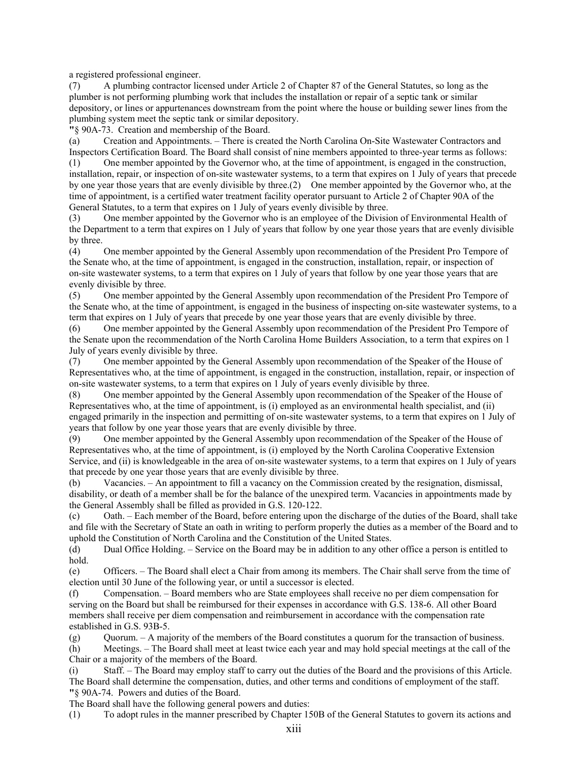a registered professional engineer.

(7) A plumbing contractor licensed under Article 2 of Chapter 87 of the General Statutes, so long as the plumber is not performing plumbing work that includes the installation or repair of a septic tank or similar depository, or lines or appurtenances downstream from the point where the house or building sewer lines from the plumbing system meet the septic tank or similar depository.

**"**§ 90A-73. Creation and membership of the Board.

(a) Creation and Appointments. – There is created the North Carolina On-Site Wastewater Contractors and Inspectors Certification Board. The Board shall consist of nine members appointed to three-year terms as follows:

(1) One member appointed by the Governor who, at the time of appointment, is engaged in the construction, installation, repair, or inspection of on-site wastewater systems, to a term that expires on 1 July of years that precede by one year those years that are evenly divisible by three.(2) One member appointed by the Governor who, at the time of appointment, is a certified water treatment facility operator pursuant to Article 2 of Chapter 90A of the General Statutes, to a term that expires on 1 July of years evenly divisible by three.

(3) One member appointed by the Governor who is an employee of the Division of Environmental Health of the Department to a term that expires on 1 July of years that follow by one year those years that are evenly divisible by three.

(4) One member appointed by the General Assembly upon recommendation of the President Pro Tempore of the Senate who, at the time of appointment, is engaged in the construction, installation, repair, or inspection of on-site wastewater systems, to a term that expires on 1 July of years that follow by one year those years that are evenly divisible by three.

(5) One member appointed by the General Assembly upon recommendation of the President Pro Tempore of the Senate who, at the time of appointment, is engaged in the business of inspecting on-site wastewater systems, to a term that expires on 1 July of years that precede by one year those years that are evenly divisible by three.

(6) One member appointed by the General Assembly upon recommendation of the President Pro Tempore of the Senate upon the recommendation of the North Carolina Home Builders Association, to a term that expires on 1 July of years evenly divisible by three.

(7) One member appointed by the General Assembly upon recommendation of the Speaker of the House of Representatives who, at the time of appointment, is engaged in the construction, installation, repair, or inspection of on-site wastewater systems, to a term that expires on 1 July of years evenly divisible by three.

(8) One member appointed by the General Assembly upon recommendation of the Speaker of the House of Representatives who, at the time of appointment, is (i) employed as an environmental health specialist, and (ii) engaged primarily in the inspection and permitting of on-site wastewater systems, to a term that expires on 1 July of years that follow by one year those years that are evenly divisible by three.

(9) One member appointed by the General Assembly upon recommendation of the Speaker of the House of Representatives who, at the time of appointment, is (i) employed by the North Carolina Cooperative Extension Service, and (ii) is knowledgeable in the area of on-site wastewater systems, to a term that expires on 1 July of years that precede by one year those years that are evenly divisible by three.

(b) Vacancies. – An appointment to fill a vacancy on the Commission created by the resignation, dismissal, disability, or death of a member shall be for the balance of the unexpired term. Vacancies in appointments made by the General Assembly shall be filled as provided in G.S. 120-122.

(c) Oath. – Each member of the Board, before entering upon the discharge of the duties of the Board, shall take and file with the Secretary of State an oath in writing to perform properly the duties as a member of the Board and to uphold the Constitution of North Carolina and the Constitution of the United States.

(d) Dual Office Holding. – Service on the Board may be in addition to any other office a person is entitled to hold.

(e) Officers. – The Board shall elect a Chair from among its members. The Chair shall serve from the time of election until 30 June of the following year, or until a successor is elected.

(f) Compensation. – Board members who are State employees shall receive no per diem compensation for serving on the Board but shall be reimbursed for their expenses in accordance with G.S. 138-6. All other Board members shall receive per diem compensation and reimbursement in accordance with the compensation rate established in G.S. 93B-5.

(g) Quorum. – A majority of the members of the Board constitutes a quorum for the transaction of business.

(h) Meetings. – The Board shall meet at least twice each year and may hold special meetings at the call of the Chair or a majority of the members of the Board.

(i) Staff. – The Board may employ staff to carry out the duties of the Board and the provisions of this Article. The Board shall determine the compensation, duties, and other terms and conditions of employment of the staff. **"**§ 90A-74. Powers and duties of the Board.

The Board shall have the following general powers and duties:

(1) To adopt rules in the manner prescribed by Chapter 150B of the General Statutes to govern its actions and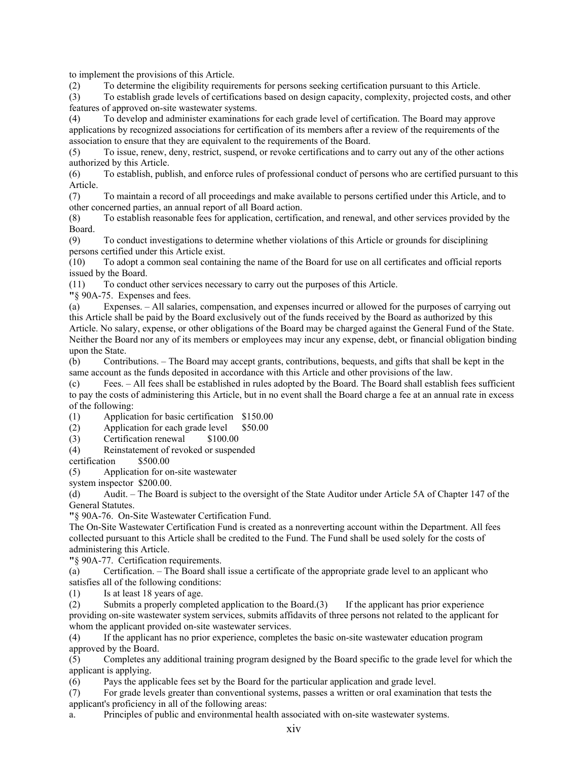to implement the provisions of this Article.

(2) To determine the eligibility requirements for persons seeking certification pursuant to this Article.

(3) To establish grade levels of certifications based on design capacity, complexity, projected costs, and other features of approved on-site wastewater systems.

(4) To develop and administer examinations for each grade level of certification. The Board may approve applications by recognized associations for certification of its members after a review of the requirements of the association to ensure that they are equivalent to the requirements of the Board.

(5) To issue, renew, deny, restrict, suspend, or revoke certifications and to carry out any of the other actions authorized by this Article.

(6) To establish, publish, and enforce rules of professional conduct of persons who are certified pursuant to this Article.

(7) To maintain a record of all proceedings and make available to persons certified under this Article, and to other concerned parties, an annual report of all Board action.

(8) To establish reasonable fees for application, certification, and renewal, and other services provided by the Board.

(9) To conduct investigations to determine whether violations of this Article or grounds for disciplining persons certified under this Article exist.

(10) To adopt a common seal containing the name of the Board for use on all certificates and official reports issued by the Board.

(11) To conduct other services necessary to carry out the purposes of this Article.

**"**§ 90A-75. Expenses and fees.

(a) Expenses. – All salaries, compensation, and expenses incurred or allowed for the purposes of carrying out this Article shall be paid by the Board exclusively out of the funds received by the Board as authorized by this Article. No salary, expense, or other obligations of the Board may be charged against the General Fund of the State. Neither the Board nor any of its members or employees may incur any expense, debt, or financial obligation binding upon the State.

(b) Contributions. – The Board may accept grants, contributions, bequests, and gifts that shall be kept in the same account as the funds deposited in accordance with this Article and other provisions of the law.

(c) Fees. – All fees shall be established in rules adopted by the Board. The Board shall establish fees sufficient to pay the costs of administering this Article, but in no event shall the Board charge a fee at an annual rate in excess of the following:

(1) Application for basic certification \$150.00

(2) Application for each grade level \$50.00

(3) Certification renewal \$100.00

(4) Reinstatement of revoked or suspended

certification \$500.00

(5) Application for on-site wastewater

system inspector \$200.00.

(d) Audit. – The Board is subject to the oversight of the State Auditor under Article 5A of Chapter 147 of the General Statutes.

**"**§ 90A-76. On-Site Wastewater Certification Fund.

The On-Site Wastewater Certification Fund is created as a nonreverting account within the Department. All fees collected pursuant to this Article shall be credited to the Fund. The Fund shall be used solely for the costs of administering this Article.

**"**§ 90A-77. Certification requirements.

(a) Certification. – The Board shall issue a certificate of the appropriate grade level to an applicant who satisfies all of the following conditions:

(1) Is at least 18 years of age.

(2) Submits a properly completed application to the Board.(3) If the applicant has prior experience providing on-site wastewater system services, submits affidavits of three persons not related to the applicant for whom the applicant provided on-site wastewater services.

(4) If the applicant has no prior experience, completes the basic on-site wastewater education program approved by the Board.

(5) Completes any additional training program designed by the Board specific to the grade level for which the applicant is applying.

(6) Pays the applicable fees set by the Board for the particular application and grade level.

(7) For grade levels greater than conventional systems, passes a written or oral examination that tests the applicant's proficiency in all of the following areas:

a. Principles of public and environmental health associated with on-site wastewater systems.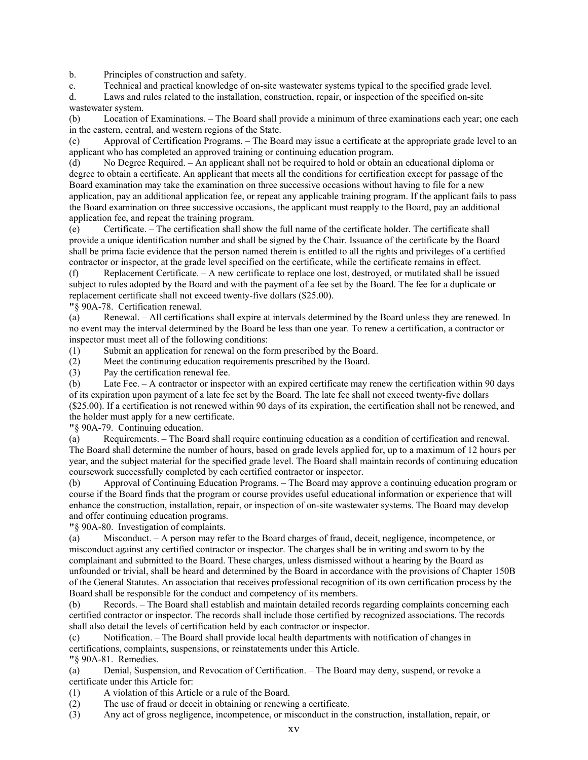b. Principles of construction and safety.

c. Technical and practical knowledge of on-site wastewater systems typical to the specified grade level.

d. Laws and rules related to the installation, construction, repair, or inspection of the specified on-site wastewater system.

(b) Location of Examinations. – The Board shall provide a minimum of three examinations each year; one each in the eastern, central, and western regions of the State.

(c) Approval of Certification Programs. – The Board may issue a certificate at the appropriate grade level to an applicant who has completed an approved training or continuing education program.

(d) No Degree Required. – An applicant shall not be required to hold or obtain an educational diploma or degree to obtain a certificate. An applicant that meets all the conditions for certification except for passage of the Board examination may take the examination on three successive occasions without having to file for a new application, pay an additional application fee, or repeat any applicable training program. If the applicant fails to pass the Board examination on three successive occasions, the applicant must reapply to the Board, pay an additional application fee, and repeat the training program.

(e) Certificate. – The certification shall show the full name of the certificate holder. The certificate shall provide a unique identification number and shall be signed by the Chair. Issuance of the certificate by the Board shall be prima facie evidence that the person named therein is entitled to all the rights and privileges of a certified contractor or inspector, at the grade level specified on the certificate, while the certificate remains in effect.

(f) Replacement Certificate. – A new certificate to replace one lost, destroyed, or mutilated shall be issued subject to rules adopted by the Board and with the payment of a fee set by the Board. The fee for a duplicate or replacement certificate shall not exceed twenty-five dollars (\$25.00).

**"**§ 90A-78. Certification renewal.

(a) Renewal. – All certifications shall expire at intervals determined by the Board unless they are renewed. In no event may the interval determined by the Board be less than one year. To renew a certification, a contractor or inspector must meet all of the following conditions:

(1) Submit an application for renewal on the form prescribed by the Board.

(2) Meet the continuing education requirements prescribed by the Board.

(3) Pay the certification renewal fee.

(b) Late Fee. – A contractor or inspector with an expired certificate may renew the certification within 90 days of its expiration upon payment of a late fee set by the Board. The late fee shall not exceed twenty-five dollars (\$25.00). If a certification is not renewed within 90 days of its expiration, the certification shall not be renewed, and the holder must apply for a new certificate.

**"**§ 90A-79. Continuing education.

(a) Requirements. – The Board shall require continuing education as a condition of certification and renewal. The Board shall determine the number of hours, based on grade levels applied for, up to a maximum of 12 hours per year, and the subject material for the specified grade level. The Board shall maintain records of continuing education coursework successfully completed by each certified contractor or inspector.

(b) Approval of Continuing Education Programs. – The Board may approve a continuing education program or course if the Board finds that the program or course provides useful educational information or experience that will enhance the construction, installation, repair, or inspection of on-site wastewater systems. The Board may develop and offer continuing education programs.

**"**§ 90A-80. Investigation of complaints.

(a) Misconduct. – A person may refer to the Board charges of fraud, deceit, negligence, incompetence, or misconduct against any certified contractor or inspector. The charges shall be in writing and sworn to by the complainant and submitted to the Board. These charges, unless dismissed without a hearing by the Board as unfounded or trivial, shall be heard and determined by the Board in accordance with the provisions of Chapter 150B of the General Statutes. An association that receives professional recognition of its own certification process by the Board shall be responsible for the conduct and competency of its members.

(b) Records. – The Board shall establish and maintain detailed records regarding complaints concerning each certified contractor or inspector. The records shall include those certified by recognized associations. The records shall also detail the levels of certification held by each contractor or inspector.

(c) Notification. – The Board shall provide local health departments with notification of changes in certifications, complaints, suspensions, or reinstatements under this Article. **"**§ 90A-81. Remedies.

(a) Denial, Suspension, and Revocation of Certification. – The Board may deny, suspend, or revoke a certificate under this Article for:

(1) A violation of this Article or a rule of the Board.

(2) The use of fraud or deceit in obtaining or renewing a certificate.

(3) Any act of gross negligence, incompetence, or misconduct in the construction, installation, repair, or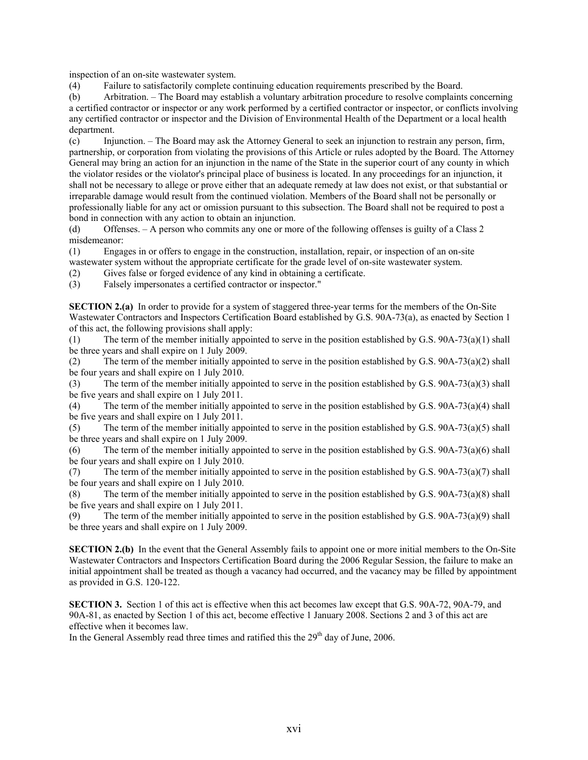inspection of an on-site wastewater system.

(4) Failure to satisfactorily complete continuing education requirements prescribed by the Board.

(b) Arbitration. – The Board may establish a voluntary arbitration procedure to resolve complaints concerning a certified contractor or inspector or any work performed by a certified contractor or inspector, or conflicts involving any certified contractor or inspector and the Division of Environmental Health of the Department or a local health department.

(c) Injunction. – The Board may ask the Attorney General to seek an injunction to restrain any person, firm, partnership, or corporation from violating the provisions of this Article or rules adopted by the Board. The Attorney General may bring an action for an injunction in the name of the State in the superior court of any county in which the violator resides or the violator's principal place of business is located. In any proceedings for an injunction, it shall not be necessary to allege or prove either that an adequate remedy at law does not exist, or that substantial or irreparable damage would result from the continued violation. Members of the Board shall not be personally or professionally liable for any act or omission pursuant to this subsection. The Board shall not be required to post a bond in connection with any action to obtain an injunction.

(d) Offenses. – A person who commits any one or more of the following offenses is guilty of a Class 2 misdemeanor:

(1) Engages in or offers to engage in the construction, installation, repair, or inspection of an on-site wastewater system without the appropriate certificate for the grade level of on-site wastewater system.

- (2) Gives false or forged evidence of any kind in obtaining a certificate.
- (3) Falsely impersonates a certified contractor or inspector."

**SECTION 2.(a)** In order to provide for a system of staggered three-year terms for the members of the On-Site Wastewater Contractors and Inspectors Certification Board established by G.S. 90A-73(a), as enacted by Section 1 of this act, the following provisions shall apply:

(1) The term of the member initially appointed to serve in the position established by G.S. 90A-73(a)(1) shall be three years and shall expire on 1 July 2009.

(2) The term of the member initially appointed to serve in the position established by G.S. 90A-73(a)(2) shall be four years and shall expire on 1 July 2010.

(3) The term of the member initially appointed to serve in the position established by G.S. 90A-73(a)(3) shall be five years and shall expire on 1 July 2011.

(4) The term of the member initially appointed to serve in the position established by G.S. 90A-73(a)(4) shall be five years and shall expire on 1 July 2011.

(5) The term of the member initially appointed to serve in the position established by G.S. 90A-73(a)(5) shall be three years and shall expire on 1 July 2009.

(6) The term of the member initially appointed to serve in the position established by G.S. 90A-73(a)(6) shall be four years and shall expire on 1 July 2010.

(7) The term of the member initially appointed to serve in the position established by G.S. 90A-73(a)(7) shall be four years and shall expire on 1 July 2010.

(8) The term of the member initially appointed to serve in the position established by G.S. 90A-73(a)(8) shall be five years and shall expire on 1 July 2011.

(9) The term of the member initially appointed to serve in the position established by G.S. 90A-73(a)(9) shall be three years and shall expire on 1 July 2009.

**SECTION 2.(b)** In the event that the General Assembly fails to appoint one or more initial members to the On-Site Wastewater Contractors and Inspectors Certification Board during the 2006 Regular Session, the failure to make an initial appointment shall be treated as though a vacancy had occurred, and the vacancy may be filled by appointment as provided in G.S. 120-122.

**SECTION 3.** Section 1 of this act is effective when this act becomes law except that G.S. 90A-72, 90A-79, and 90A-81, as enacted by Section 1 of this act, become effective 1 January 2008. Sections 2 and 3 of this act are effective when it becomes law.

In the General Assembly read three times and ratified this the  $29<sup>th</sup>$  day of June, 2006.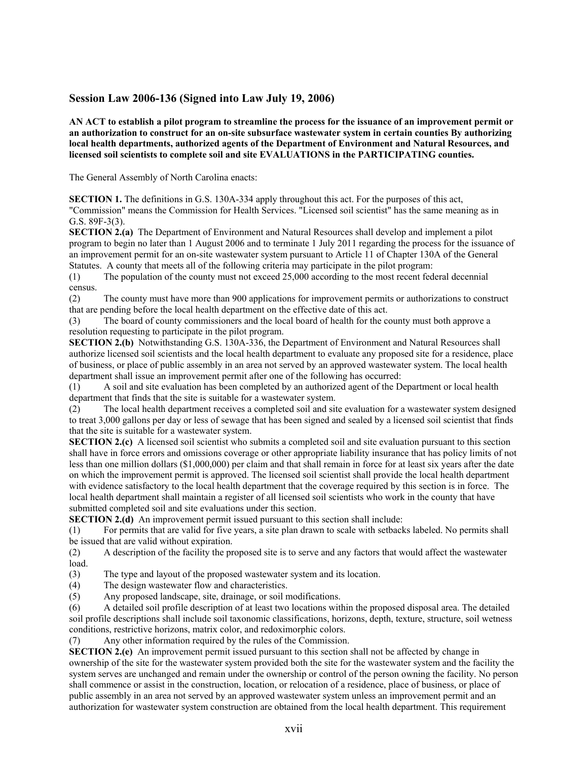# **Session Law 2006-136 (Signed into Law July 19, 2006)**

**AN ACT to establish a pilot program to streamline the process for the issuance of an improvement permit or an authorization to construct for an on-site subsurface wastewater system in certain counties By authorizing local health departments, authorized agents of the Department of Environment and Natural Resources, and licensed soil scientists to complete soil and site EVALUATIONS in the PARTICIPATING counties.** 

The General Assembly of North Carolina enacts:

**SECTION 1.** The definitions in G.S. 130A-334 apply throughout this act. For the purposes of this act,

"Commission" means the Commission for Health Services. "Licensed soil scientist" has the same meaning as in G.S. 89F-3(3).

**SECTION 2.(a)** The Department of Environment and Natural Resources shall develop and implement a pilot program to begin no later than 1 August 2006 and to terminate 1 July 2011 regarding the process for the issuance of an improvement permit for an on-site wastewater system pursuant to Article 11 of Chapter 130A of the General Statutes. A county that meets all of the following criteria may participate in the pilot program:

(1) The population of the county must not exceed 25,000 according to the most recent federal decennial census.

(2) The county must have more than 900 applications for improvement permits or authorizations to construct that are pending before the local health department on the effective date of this act.

(3) The board of county commissioners and the local board of health for the county must both approve a resolution requesting to participate in the pilot program.

**SECTION 2.(b)** Notwithstanding G.S. 130A-336, the Department of Environment and Natural Resources shall authorize licensed soil scientists and the local health department to evaluate any proposed site for a residence, place of business, or place of public assembly in an area not served by an approved wastewater system. The local health department shall issue an improvement permit after one of the following has occurred:

(1) A soil and site evaluation has been completed by an authorized agent of the Department or local health department that finds that the site is suitable for a wastewater system.

(2) The local health department receives a completed soil and site evaluation for a wastewater system designed to treat 3,000 gallons per day or less of sewage that has been signed and sealed by a licensed soil scientist that finds that the site is suitable for a wastewater system.

**SECTION 2.(c)** A licensed soil scientist who submits a completed soil and site evaluation pursuant to this section shall have in force errors and omissions coverage or other appropriate liability insurance that has policy limits of not less than one million dollars (\$1,000,000) per claim and that shall remain in force for at least six years after the date on which the improvement permit is approved. The licensed soil scientist shall provide the local health department with evidence satisfactory to the local health department that the coverage required by this section is in force. The local health department shall maintain a register of all licensed soil scientists who work in the county that have submitted completed soil and site evaluations under this section.

**SECTION 2.(d)** An improvement permit issued pursuant to this section shall include:

(1) For permits that are valid for five years, a site plan drawn to scale with setbacks labeled. No permits shall be issued that are valid without expiration.

(2) A description of the facility the proposed site is to serve and any factors that would affect the wastewater load.

(3) The type and layout of the proposed wastewater system and its location.

(4) The design wastewater flow and characteristics.

(5) Any proposed landscape, site, drainage, or soil modifications.

(6) A detailed soil profile description of at least two locations within the proposed disposal area. The detailed soil profile descriptions shall include soil taxonomic classifications, horizons, depth, texture, structure, soil wetness conditions, restrictive horizons, matrix color, and redoximorphic colors.

(7) Any other information required by the rules of the Commission.

**SECTION 2.(e)** An improvement permit issued pursuant to this section shall not be affected by change in ownership of the site for the wastewater system provided both the site for the wastewater system and the facility the system serves are unchanged and remain under the ownership or control of the person owning the facility. No person shall commence or assist in the construction, location, or relocation of a residence, place of business, or place of public assembly in an area not served by an approved wastewater system unless an improvement permit and an authorization for wastewater system construction are obtained from the local health department. This requirement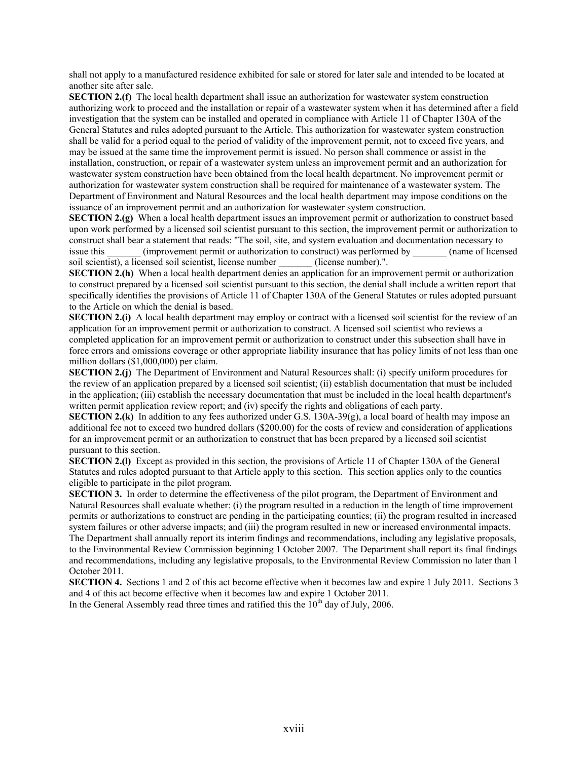shall not apply to a manufactured residence exhibited for sale or stored for later sale and intended to be located at another site after sale.

**SECTION 2.(f)** The local health department shall issue an authorization for wastewater system construction authorizing work to proceed and the installation or repair of a wastewater system when it has determined after a field investigation that the system can be installed and operated in compliance with Article 11 of Chapter 130A of the General Statutes and rules adopted pursuant to the Article. This authorization for wastewater system construction shall be valid for a period equal to the period of validity of the improvement permit, not to exceed five years, and may be issued at the same time the improvement permit is issued. No person shall commence or assist in the installation, construction, or repair of a wastewater system unless an improvement permit and an authorization for wastewater system construction have been obtained from the local health department. No improvement permit or authorization for wastewater system construction shall be required for maintenance of a wastewater system. The Department of Environment and Natural Resources and the local health department may impose conditions on the issuance of an improvement permit and an authorization for wastewater system construction.

**SECTION 2.(g)** When a local health department issues an improvement permit or authorization to construct based upon work performed by a licensed soil scientist pursuant to this section, the improvement permit or authorization to construct shall bear a statement that reads: "The soil, site, and system evaluation and documentation necessary to issue this  $\qquad \qquad$  (improvement permit or authorization to construct) was performed by  $\qquad \qquad$  (name of licensed soil scientist), a licensed soil scientist, license number (license number).".

**SECTION 2.(h)** When a local health department denies an application for an improvement permit or authorization to construct prepared by a licensed soil scientist pursuant to this section, the denial shall include a written report that specifically identifies the provisions of Article 11 of Chapter 130A of the General Statutes or rules adopted pursuant to the Article on which the denial is based.

**SECTION 2.(i)** A local health department may employ or contract with a licensed soil scientist for the review of an application for an improvement permit or authorization to construct. A licensed soil scientist who reviews a completed application for an improvement permit or authorization to construct under this subsection shall have in force errors and omissions coverage or other appropriate liability insurance that has policy limits of not less than one million dollars (\$1,000,000) per claim.

**SECTION 2.(j)** The Department of Environment and Natural Resources shall: (i) specify uniform procedures for the review of an application prepared by a licensed soil scientist; (ii) establish documentation that must be included in the application; (iii) establish the necessary documentation that must be included in the local health department's written permit application review report; and (iv) specify the rights and obligations of each party.

**SECTION 2.(k)** In addition to any fees authorized under G.S. 130A-39(g), a local board of health may impose an additional fee not to exceed two hundred dollars (\$200.00) for the costs of review and consideration of applications for an improvement permit or an authorization to construct that has been prepared by a licensed soil scientist pursuant to this section.

**SECTION 2.(1)** Except as provided in this section, the provisions of Article 11 of Chapter 130A of the General Statutes and rules adopted pursuant to that Article apply to this section. This section applies only to the counties eligible to participate in the pilot program.

**SECTION 3.** In order to determine the effectiveness of the pilot program, the Department of Environment and Natural Resources shall evaluate whether: (i) the program resulted in a reduction in the length of time improvement permits or authorizations to construct are pending in the participating counties; (ii) the program resulted in increased system failures or other adverse impacts; and (iii) the program resulted in new or increased environmental impacts. The Department shall annually report its interim findings and recommendations, including any legislative proposals, to the Environmental Review Commission beginning 1 October 2007. The Department shall report its final findings and recommendations, including any legislative proposals, to the Environmental Review Commission no later than 1 October 2011.

**SECTION 4.** Sections 1 and 2 of this act become effective when it becomes law and expire 1 July 2011. Sections 3 and 4 of this act become effective when it becomes law and expire 1 October 2011.

In the General Assembly read three times and ratified this the  $10<sup>th</sup>$  day of July, 2006.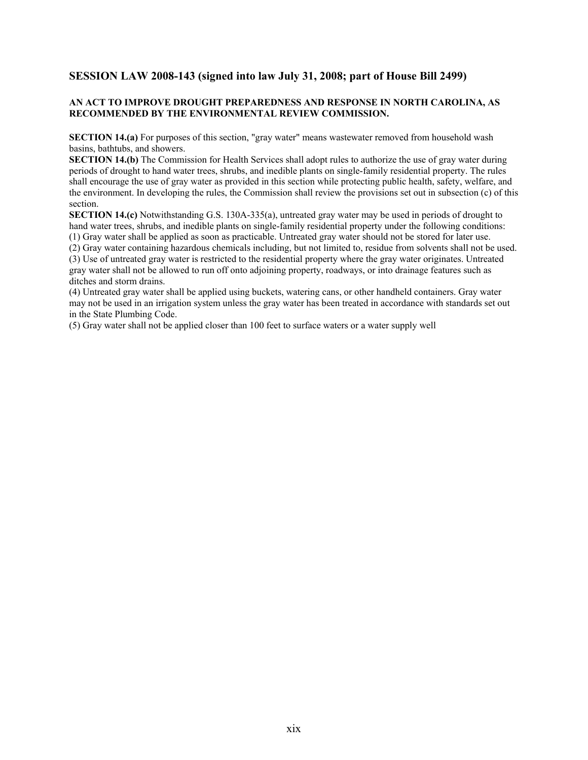# **SESSION LAW 2008-143 (signed into law July 31, 2008; part of House Bill 2499)**

## **AN ACT TO IMPROVE DROUGHT PREPAREDNESS AND RESPONSE IN NORTH CAROLINA, AS RECOMMENDED BY THE ENVIRONMENTAL REVIEW COMMISSION.**

**SECTION 14.(a)** For purposes of this section, "gray water" means wastewater removed from household wash basins, bathtubs, and showers.

**SECTION 14.(b)** The Commission for Health Services shall adopt rules to authorize the use of gray water during periods of drought to hand water trees, shrubs, and inedible plants on single-family residential property. The rules shall encourage the use of gray water as provided in this section while protecting public health, safety, welfare, and the environment. In developing the rules, the Commission shall review the provisions set out in subsection (c) of this section.

**SECTION 14.(c)** Notwithstanding G.S. 130A-335(a), untreated gray water may be used in periods of drought to hand water trees, shrubs, and inedible plants on single-family residential property under the following conditions:

(1) Gray water shall be applied as soon as practicable. Untreated gray water should not be stored for later use.

(2) Gray water containing hazardous chemicals including, but not limited to, residue from solvents shall not be used.

(3) Use of untreated gray water is restricted to the residential property where the gray water originates. Untreated gray water shall not be allowed to run off onto adjoining property, roadways, or into drainage features such as ditches and storm drains.

(4) Untreated gray water shall be applied using buckets, watering cans, or other handheld containers. Gray water may not be used in an irrigation system unless the gray water has been treated in accordance with standards set out in the State Plumbing Code.

(5) Gray water shall not be applied closer than 100 feet to surface waters or a water supply well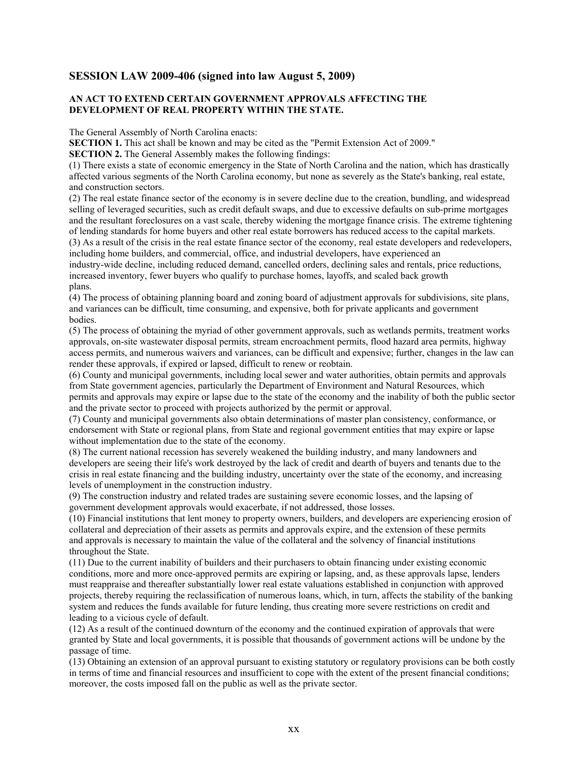# **SESSION LAW 2009-406 (signed into law August 5, 2009)**

## **AN ACT TO EXTEND CERTAIN GOVERNMENT APPROVALS AFFECTING THE DEVELOPMENT OF REAL PROPERTY WITHIN THE STATE.**

The General Assembly of North Carolina enacts:

**SECTION 1.** This act shall be known and may be cited as the "Permit Extension Act of 2009."

**SECTION 2.** The General Assembly makes the following findings:

(1) There exists a state of economic emergency in the State of North Carolina and the nation, which has drastically affected various segments of the North Carolina economy, but none as severely as the State's banking, real estate, and construction sectors.

(2) The real estate finance sector of the economy is in severe decline due to the creation, bundling, and widespread selling of leveraged securities, such as credit default swaps, and due to excessive defaults on sub-prime mortgages and the resultant foreclosures on a vast scale, thereby widening the mortgage finance crisis. The extreme tightening of lending standards for home buyers and other real estate borrowers has reduced access to the capital markets.

(3) As a result of the crisis in the real estate finance sector of the economy, real estate developers and redevelopers, including home builders, and commercial, office, and industrial developers, have experienced an

industry-wide decline, including reduced demand, cancelled orders, declining sales and rentals, price reductions, increased inventory, fewer buyers who qualify to purchase homes, layoffs, and scaled back growth plans.

(4) The process of obtaining planning board and zoning board of adjustment approvals for subdivisions, site plans, and variances can be difficult, time consuming, and expensive, both for private applicants and government bodies.

(5) The process of obtaining the myriad of other government approvals, such as wetlands permits, treatment works approvals, on-site wastewater disposal permits, stream encroachment permits, flood hazard area permits, highway access permits, and numerous waivers and variances, can be difficult and expensive; further, changes in the law can render these approvals, if expired or lapsed, difficult to renew or reobtain.

(6) County and municipal governments, including local sewer and water authorities, obtain permits and approvals from State government agencies, particularly the Department of Environment and Natural Resources, which permits and approvals may expire or lapse due to the state of the economy and the inability of both the public sector and the private sector to proceed with projects authorized by the permit or approval.

(7) County and municipal governments also obtain determinations of master plan consistency, conformance, or endorsement with State or regional plans, from State and regional government entities that may expire or lapse without implementation due to the state of the economy.

(8) The current national recession has severely weakened the building industry, and many landowners and developers are seeing their life's work destroyed by the lack of credit and dearth of buyers and tenants due to the crisis in real estate financing and the building industry, uncertainty over the state of the economy, and increasing levels of unemployment in the construction industry.

(9) The construction industry and related trades are sustaining severe economic losses, and the lapsing of government development approvals would exacerbate, if not addressed, those losses.

(10) Financial institutions that lent money to property owners, builders, and developers are experiencing erosion of collateral and depreciation of their assets as permits and approvals expire, and the extension of these permits and approvals is necessary to maintain the value of the collateral and the solvency of financial institutions throughout the State.

(11) Due to the current inability of builders and their purchasers to obtain financing under existing economic conditions, more and more once-approved permits are expiring or lapsing, and, as these approvals lapse, lenders must reappraise and thereafter substantially lower real estate valuations established in conjunction with approved projects, thereby requiring the reclassification of numerous loans, which, in turn, affects the stability of the banking system and reduces the funds available for future lending, thus creating more severe restrictions on credit and leading to a vicious cycle of default.

(12) As a result of the continued downturn of the economy and the continued expiration of approvals that were granted by State and local governments, it is possible that thousands of government actions will be undone by the passage of time.

(13) Obtaining an extension of an approval pursuant to existing statutory or regulatory provisions can be both costly in terms of time and financial resources and insufficient to cope with the extent of the present financial conditions; moreover, the costs imposed fall on the public as well as the private sector.